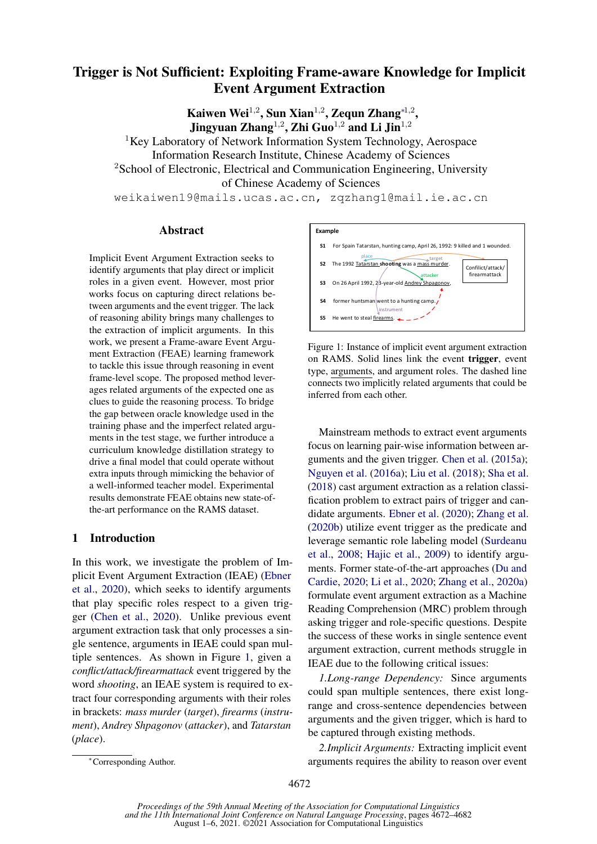# Trigger is Not Sufficient: Exploiting Frame-aware Knowledge for Implicit Event Argument Extraction

Kaiwen Wei<sup>1,2</sup>, Sun Xian<sup>1,2</sup>, Zequn Zhang<sup>\*1,2</sup>, Jingyuan Zhang<sup>1,2</sup>, Zhi Guo<sup>1,2</sup> and Li Jin<sup>1,2</sup>

<sup>1</sup>Key Laboratory of Network Information System Technology, Aerospace Information Research Institute, Chinese Academy of Sciences <sup>2</sup>School of Electronic, Electrical and Communication Engineering, University of Chinese Academy of Sciences

weikaiwen19@mails.ucas.ac.cn, zqzhang1@mail.ie.ac.cn

#### Abstract

Implicit Event Argument Extraction seeks to identify arguments that play direct or implicit roles in a given event. However, most prior works focus on capturing direct relations between arguments and the event trigger. The lack of reasoning ability brings many challenges to the extraction of implicit arguments. In this work, we present a Frame-aware Event Argument Extraction (FEAE) learning framework to tackle this issue through reasoning in event frame-level scope. The proposed method leverages related arguments of the expected one as clues to guide the reasoning process. To bridge the gap between oracle knowledge used in the training phase and the imperfect related arguments in the test stage, we further introduce a curriculum knowledge distillation strategy to drive a final model that could operate without extra inputs through mimicking the behavior of a well-informed teacher model. Experimental results demonstrate FEAE obtains new state-ofthe-art performance on the RAMS dataset.

#### 1 Introduction

In this work, we investigate the problem of Implicit Event Argument Extraction (IEAE) [\(Ebner](#page-9-0) [et al.,](#page-9-0) [2020\)](#page-9-0), which seeks to identify arguments that play specific roles respect to a given trigger [\(Chen et al.,](#page-8-0) [2020\)](#page-8-0). Unlike previous event argument extraction task that only processes a single sentence, arguments in IEAE could span multiple sentences. As shown in Figure [1,](#page-0-0) given a *conflict/attack/firearmattack* event triggered by the word *shooting*, an IEAE system is required to extract four corresponding arguments with their roles in brackets: *mass murder* (*target*), *firearms* (*instrument*), *Andrey Shpagonov* (*attacker*), and *Tatarstan* (*place*).

<span id="page-0-0"></span>

Figure 1: Instance of implicit event argument extraction on RAMS. Solid lines link the event trigger, event type, arguments, and argument roles. The dashed line connects two implicitly related arguments that could be inferred from each other.

Mainstream methods to extract event arguments focus on learning pair-wise information between arguments and the given trigger. [Chen et al.](#page-8-1) [\(2015a\)](#page-8-1); [Nguyen et al.](#page-9-1) [\(2016a\)](#page-9-1); [Liu et al.](#page-9-2) [\(2018\)](#page-9-2); [Sha et al.](#page-10-0) [\(2018\)](#page-10-0) cast argument extraction as a relation classification problem to extract pairs of trigger and candidate arguments. [Ebner et al.](#page-9-0) [\(2020\)](#page-9-0); [Zhang et al.](#page-10-1) [\(2020b\)](#page-10-1) utilize event trigger as the predicate and leverage semantic role labeling model [\(Surdeanu](#page-10-2) [et al.,](#page-10-2) [2008;](#page-10-2) [Hajic et al.,](#page-9-3) [2009\)](#page-9-3) to identify arguments. Former state-of-the-art approaches [\(Du and](#page-9-4) [Cardie,](#page-9-4) [2020;](#page-9-4) [Li et al.,](#page-9-5) [2020;](#page-9-5) [Zhang et al.,](#page-10-3) [2020a\)](#page-10-3) formulate event argument extraction as a Machine Reading Comprehension (MRC) problem through asking trigger and role-specific questions. Despite the success of these works in single sentence event argument extraction, current methods struggle in IEAE due to the following critical issues:

*1.Long-range Dependency:* Since arguments could span multiple sentences, there exist longrange and cross-sentence dependencies between arguments and the given trigger, which is hard to be captured through existing methods.

*2.Implicit Arguments:* Extracting implicit event arguments requires the ability to reason over event

<sup>∗</sup>Corresponding Author.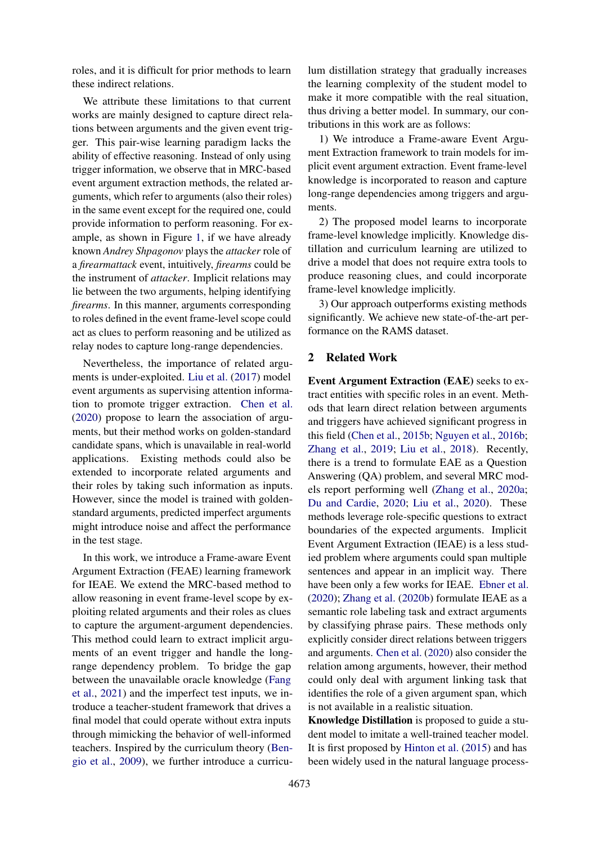roles, and it is difficult for prior methods to learn these indirect relations.

We attribute these limitations to that current works are mainly designed to capture direct relations between arguments and the given event trigger. This pair-wise learning paradigm lacks the ability of effective reasoning. Instead of only using trigger information, we observe that in MRC-based event argument extraction methods, the related arguments, which refer to arguments (also their roles) in the same event except for the required one, could provide information to perform reasoning. For example, as shown in Figure [1,](#page-0-0) if we have already known *Andrey Shpagonov* plays the *attacker* role of a *firearmattack* event, intuitively, *firearms* could be the instrument of *attacker*. Implicit relations may lie between the two arguments, helping identifying *firearms*. In this manner, arguments corresponding to roles defined in the event frame-level scope could act as clues to perform reasoning and be utilized as relay nodes to capture long-range dependencies.

Nevertheless, the importance of related arguments is under-exploited. [Liu et al.](#page-9-6) [\(2017\)](#page-9-6) model event arguments as supervising attention information to promote trigger extraction. [Chen et al.](#page-8-0) [\(2020\)](#page-8-0) propose to learn the association of arguments, but their method works on golden-standard candidate spans, which is unavailable in real-world applications. Existing methods could also be extended to incorporate related arguments and their roles by taking such information as inputs. However, since the model is trained with goldenstandard arguments, predicted imperfect arguments might introduce noise and affect the performance in the test stage.

In this work, we introduce a Frame-aware Event Argument Extraction (FEAE) learning framework for IEAE. We extend the MRC-based method to allow reasoning in event frame-level scope by exploiting related arguments and their roles as clues to capture the argument-argument dependencies. This method could learn to extract implicit arguments of an event trigger and handle the longrange dependency problem. To bridge the gap between the unavailable oracle knowledge [\(Fang](#page-9-7) [et al.,](#page-9-7) [2021\)](#page-9-7) and the imperfect test inputs, we introduce a teacher-student framework that drives a final model that could operate without extra inputs through mimicking the behavior of well-informed teachers. Inspired by the curriculum theory [\(Ben](#page-8-2)[gio et al.,](#page-8-2) [2009\)](#page-8-2), we further introduce a curriculum distillation strategy that gradually increases the learning complexity of the student model to make it more compatible with the real situation, thus driving a better model. In summary, our contributions in this work are as follows:

1) We introduce a Frame-aware Event Argument Extraction framework to train models for implicit event argument extraction. Event frame-level knowledge is incorporated to reason and capture long-range dependencies among triggers and arguments.

2) The proposed model learns to incorporate frame-level knowledge implicitly. Knowledge distillation and curriculum learning are utilized to drive a model that does not require extra tools to produce reasoning clues, and could incorporate frame-level knowledge implicitly.

3) Our approach outperforms existing methods significantly. We achieve new state-of-the-art performance on the RAMS dataset.

# 2 Related Work

Event Argument Extraction (EAE) seeks to extract entities with specific roles in an event. Methods that learn direct relation between arguments and triggers have achieved significant progress in this field [\(Chen et al.,](#page-8-3) [2015b;](#page-8-3) [Nguyen et al.,](#page-9-8) [2016b;](#page-9-8) [Zhang et al.,](#page-10-4) [2019;](#page-10-4) [Liu et al.,](#page-9-2) [2018\)](#page-9-2). Recently, there is a trend to formulate EAE as a Question Answering (QA) problem, and several MRC models report performing well [\(Zhang et al.,](#page-10-3) [2020a;](#page-10-3) [Du and Cardie,](#page-9-4) [2020;](#page-9-4) [Liu et al.,](#page-9-9) [2020\)](#page-9-9). These methods leverage role-specific questions to extract boundaries of the expected arguments. Implicit Event Argument Extraction (IEAE) is a less studied problem where arguments could span multiple sentences and appear in an implicit way. There have been only a few works for IEAE. [Ebner et al.](#page-9-0) [\(2020\)](#page-9-0); [Zhang et al.](#page-10-1) [\(2020b\)](#page-10-1) formulate IEAE as a semantic role labeling task and extract arguments by classifying phrase pairs. These methods only explicitly consider direct relations between triggers and arguments. [Chen et al.](#page-8-0) [\(2020\)](#page-8-0) also consider the relation among arguments, however, their method could only deal with argument linking task that identifies the role of a given argument span, which is not available in a realistic situation.

Knowledge Distillation is proposed to guide a student model to imitate a well-trained teacher model. It is first proposed by [Hinton et al.](#page-9-10) [\(2015\)](#page-9-10) and has been widely used in the natural language process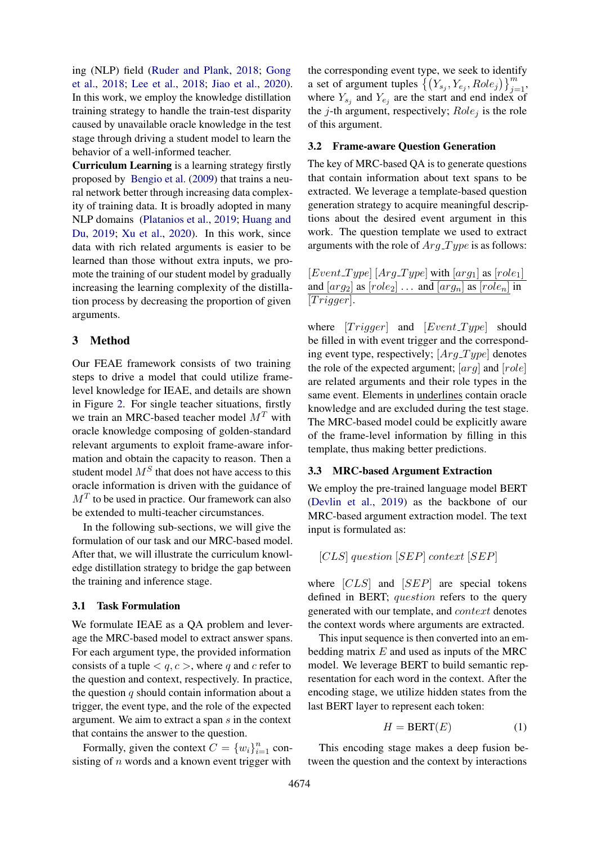ing (NLP) field [\(Ruder and Plank,](#page-10-5) [2018;](#page-10-5) [Gong](#page-9-11) [et al.,](#page-9-11) [2018;](#page-9-11) [Lee et al.,](#page-9-12) [2018;](#page-9-12) [Jiao et al.,](#page-9-13) [2020\)](#page-9-13). In this work, we employ the knowledge distillation training strategy to handle the train-test disparity caused by unavailable oracle knowledge in the test stage through driving a student model to learn the behavior of a well-informed teacher.

Curriculum Learning is a learning strategy firstly proposed by [Bengio et al.](#page-8-2) [\(2009\)](#page-8-2) that trains a neural network better through increasing data complexity of training data. It is broadly adopted in many NLP domains [\(Platanios et al.,](#page-9-14) [2019;](#page-9-14) [Huang and](#page-9-15) [Du,](#page-9-15) [2019;](#page-9-15) [Xu et al.,](#page-10-6) [2020\)](#page-10-6). In this work, since data with rich related arguments is easier to be learned than those without extra inputs, we promote the training of our student model by gradually increasing the learning complexity of the distillation process by decreasing the proportion of given arguments.

# 3 Method

Our FEAE framework consists of two training steps to drive a model that could utilize framelevel knowledge for IEAE, and details are shown in Figure [2.](#page-3-0) For single teacher situations, firstly we train an MRC-based teacher model  $M<sup>T</sup>$  with oracle knowledge composing of golden-standard relevant arguments to exploit frame-aware information and obtain the capacity to reason. Then a student model  $M<sup>S</sup>$  that does not have access to this oracle information is driven with the guidance of  $M<sup>T</sup>$  to be used in practice. Our framework can also be extended to multi-teacher circumstances.

In the following sub-sections, we will give the formulation of our task and our MRC-based model. After that, we will illustrate the curriculum knowledge distillation strategy to bridge the gap between the training and inference stage.

#### 3.1 Task Formulation

We formulate IEAE as a QA problem and leverage the MRC-based model to extract answer spans. For each argument type, the provided information consists of a tuple  $\langle q, c \rangle$ , where q and c refer to the question and context, respectively. In practice, the question  $q$  should contain information about a trigger, the event type, and the role of the expected argument. We aim to extract a span s in the context that contains the answer to the question.

Formally, given the context  $C = \{w_i\}_{i=1}^n$  consisting of  $n$  words and a known event trigger with

the corresponding event type, we seek to identify a set of argument tuples  $\left\{ (Y_{s_j}, Y_{e_j}, Role_j) \right\}_{j=1}^m$ , where  $Y_{s_j}$  and  $Y_{e_j}$  are the start and end index of the *j*-th argument, respectively;  $Role<sub>j</sub>$  is the role of this argument.

# 3.2 Frame-aware Question Generation

The key of MRC-based QA is to generate questions that contain information about text spans to be extracted. We leverage a template-based question generation strategy to acquire meaningful descriptions about the desired event argument in this work. The question template we used to extract arguments with the role of  $Arg\_Type$  is as follows:

 $[Event\_Type]$   $[Arg\_Type]$  with  $[arg_1]$  as  $[role_1]$ and  $\left[ arg_2 \right]$  as  $\left[ role_2 \right]$  ... and  $\left[ arg_n \right]$  as  $\left[ role_n \right]$  in  $[Trigger].$ 

where  $[Trigger]$  and  $[Event-Type]$  should be filled in with event trigger and the corresponding event type, respectively;  $[Arg\_Type]$  denotes the role of the expected argument;  $[arg]$  and  $[role]$ are related arguments and their role types in the same event. Elements in underlines contain oracle knowledge and are excluded during the test stage. The MRC-based model could be explicitly aware of the frame-level information by filling in this template, thus making better predictions.

#### 3.3 MRC-based Argument Extraction

We employ the pre-trained language model BERT [\(Devlin et al.,](#page-9-16) [2019\)](#page-9-16) as the backbone of our MRC-based argument extraction model. The text input is formulated as:

$$
[CLS]
$$
 question  $[SEP]$  context  $[SEP]$ 

where [CLS] and [SEP] are special tokens defined in BERT; question refers to the query generated with our template, and context denotes the context words where arguments are extracted.

This input sequence is then converted into an embedding matrix  $E$  and used as inputs of the MRC model. We leverage BERT to build semantic representation for each word in the context. After the encoding stage, we utilize hidden states from the last BERT layer to represent each token:

$$
H = BERT(E) \tag{1}
$$

This encoding stage makes a deep fusion between the question and the context by interactions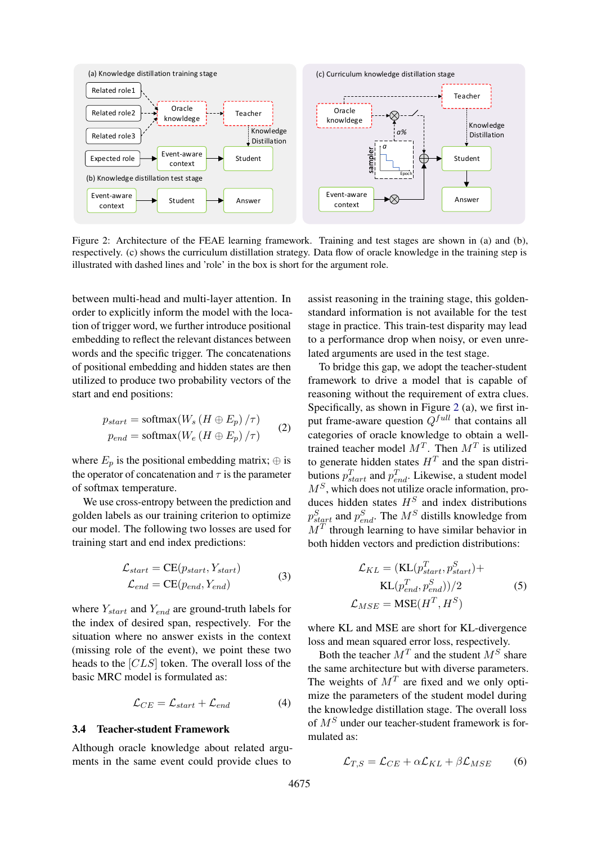<span id="page-3-0"></span>

Figure 2: Architecture of the FEAE learning framework. Training and test stages are shown in (a) and (b), respectively. (c) shows the curriculum distillation strategy. Data flow of oracle knowledge in the training step is illustrated with dashed lines and 'role' in the box is short for the argument role.

between multi-head and multi-layer attention. In order to explicitly inform the model with the location of trigger word, we further introduce positional embedding to reflect the relevant distances between words and the specific trigger. The concatenations of positional embedding and hidden states are then utilized to produce two probability vectors of the start and end positions:

$$
p_{start} = \text{softmax}(W_s (H \oplus E_p) / \tau)
$$
  
\n
$$
p_{end} = \text{softmax}(W_e (H \oplus E_p) / \tau)
$$
 (2)

where  $E_p$  is the positional embedding matrix;  $\oplus$  is the operator of concatenation and  $\tau$  is the parameter of softmax temperature.

We use cross-entropy between the prediction and golden labels as our training criterion to optimize our model. The following two losses are used for training start and end index predictions:

$$
\mathcal{L}_{start} = CE(p_{start}, Y_{start})
$$
  
\n
$$
\mathcal{L}_{end} = CE(p_{end}, Y_{end})
$$
\n(3)

where  $Y_{start}$  and  $Y_{end}$  are ground-truth labels for the index of desired span, respectively. For the situation where no answer exists in the context (missing role of the event), we point these two heads to the [CLS] token. The overall loss of the basic MRC model is formulated as:

$$
\mathcal{L}_{CE} = \mathcal{L}_{start} + \mathcal{L}_{end} \tag{4}
$$

#### <span id="page-3-2"></span>3.4 Teacher-student Framework

Although oracle knowledge about related arguments in the same event could provide clues to

assist reasoning in the training stage, this goldenstandard information is not available for the test stage in practice. This train-test disparity may lead to a performance drop when noisy, or even unrelated arguments are used in the test stage.

To bridge this gap, we adopt the teacher-student framework to drive a model that is capable of reasoning without the requirement of extra clues. Specifically, as shown in Figure [2](#page-3-0) (a), we first input frame-aware question  $Q^{full}$  that contains all categories of oracle knowledge to obtain a welltrained teacher model  $M<sup>T</sup>$ . Then  $M<sup>T</sup>$  is utilized to generate hidden states  $H<sup>T</sup>$  and the span distributions  $p_{start}^T$  and  $p_{end}^T$ . Likewise, a student model  $M<sup>S</sup>$ , which does not utilize oracle information, produces hidden states  $H<sup>S</sup>$  and index distributions  $p_{start}^S$  and  $p_{end}^S$ . The  $M^S$  distills knowledge from  $M<sup>T</sup>$  through learning to have similar behavior in both hidden vectors and prediction distributions:

$$
\mathcal{L}_{KL} = (\text{KL}(p_{start}^T, p_{start}^S) + \text{KL}(p_{end}^T, p_{end}^S))/2
$$
\n
$$
\mathcal{L}_{MSE} = \text{MSE}(H^T, H^S)
$$
\n(5)

where KL and MSE are short for KL-divergence loss and mean squared error loss, respectively.

Both the teacher  $M<sup>T</sup>$  and the student  $M<sup>S</sup>$  share the same architecture but with diverse parameters. The weights of  $M<sup>T</sup>$  are fixed and we only optimize the parameters of the student model during the knowledge distillation stage. The overall loss of  $M<sup>S</sup>$  under our teacher-student framework is formulated as:

<span id="page-3-1"></span>
$$
\mathcal{L}_{T,S} = \mathcal{L}_{CE} + \alpha \mathcal{L}_{KL} + \beta \mathcal{L}_{MSE}
$$
 (6)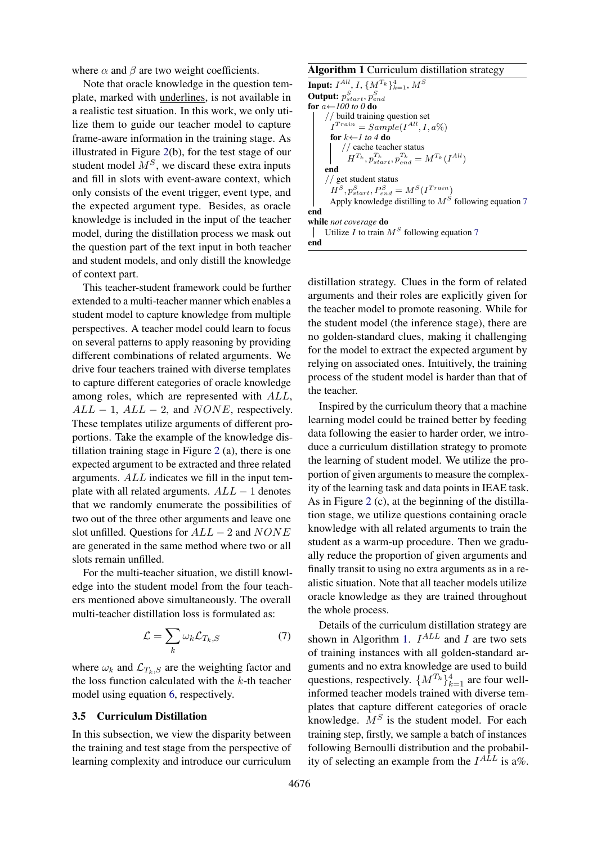where  $\alpha$  and  $\beta$  are two weight coefficients.

Note that oracle knowledge in the question template, marked with underlines, is not available in a realistic test situation. In this work, we only utilize them to guide our teacher model to capture frame-aware information in the training stage. As illustrated in Figure [2\(](#page-3-0)b), for the test stage of our student model  $M<sup>S</sup>$ , we discard these extra inputs and fill in slots with event-aware context, which only consists of the event trigger, event type, and the expected argument type. Besides, as oracle knowledge is included in the input of the teacher model, during the distillation process we mask out the question part of the text input in both teacher and student models, and only distill the knowledge of context part.

This teacher-student framework could be further extended to a multi-teacher manner which enables a student model to capture knowledge from multiple perspectives. A teacher model could learn to focus on several patterns to apply reasoning by providing different combinations of related arguments. We drive four teachers trained with diverse templates to capture different categories of oracle knowledge among roles, which are represented with ALL,  $ALL - 1$ ,  $ALL - 2$ , and  $NONE$ , respectively. These templates utilize arguments of different proportions. Take the example of the knowledge distillation training stage in Figure [2](#page-3-0) (a), there is one expected argument to be extracted and three related arguments. ALL indicates we fill in the input template with all related arguments.  $ALL - 1$  denotes that we randomly enumerate the possibilities of two out of the three other arguments and leave one slot unfilled. Questions for  $ALL - 2$  and  $NONE$ are generated in the same method where two or all slots remain unfilled.

For the multi-teacher situation, we distill knowledge into the student model from the four teachers mentioned above simultaneously. The overall multi-teacher distillation loss is formulated as:

$$
\mathcal{L} = \sum_{k} \omega_k \mathcal{L}_{T_k, S} \tag{7}
$$

where  $\omega_k$  and  $\mathcal{L}_{T_k,S}$  are the weighting factor and the loss function calculated with the  $k$ -th teacher model using equation [6,](#page-3-1) respectively.

#### 3.5 Curriculum Distillation

In this subsection, we view the disparity between the training and test stage from the perspective of learning complexity and introduce our curriculum

<span id="page-4-1"></span>Algorithm 1 Curriculum distillation strategy

**Input:**  $I^{All}$ ,  $I$ ,  $\{M^{T_k}\}_{k=1}^4$ ,  $M^S$ Output:  $p_{start}^S, p_{end}^S$ for a←*100 to 0* do // build training question set  $I^{Train} = Sample(I^{All}, I, a\%)$ for  $k\leftarrow l$  to 4 do // cache teacher status  $H^{T_k}, p_{start}^{T_k}, p_{end}^{T_k} = M^{T_k}(I^{All})$ end // get student status  $H^S, p_{start}^S, P_{end}^S = M^S(I^{Train})$ Apply knowledge distilling to  $M<sup>S</sup>$  following equation [7](#page-4-0) end while *not coverage* do Utilize I to train  $M<sup>S</sup>$  following equation [7](#page-4-0)  $\perp$ end

distillation strategy. Clues in the form of related arguments and their roles are explicitly given for the teacher model to promote reasoning. While for the student model (the inference stage), there are no golden-standard clues, making it challenging for the model to extract the expected argument by relying on associated ones. Intuitively, the training process of the student model is harder than that of the teacher.

Inspired by the curriculum theory that a machine learning model could be trained better by feeding data following the easier to harder order, we introduce a curriculum distillation strategy to promote the learning of student model. We utilize the proportion of given arguments to measure the complexity of the learning task and data points in IEAE task. As in Figure [2](#page-3-0) (c), at the beginning of the distillation stage, we utilize questions containing oracle knowledge with all related arguments to train the student as a warm-up procedure. Then we gradually reduce the proportion of given arguments and finally transit to using no extra arguments as in a realistic situation. Note that all teacher models utilize oracle knowledge as they are trained throughout the whole process.

<span id="page-4-0"></span>Details of the curriculum distillation strategy are shown in Algorithm [1.](#page-4-1)  $I^{ALL}$  and I are two sets of training instances with all golden-standard arguments and no extra knowledge are used to build questions, respectively.  $\{M^{T_k}\}_{k=1}^4$  are four wellinformed teacher models trained with diverse templates that capture different categories of oracle knowledge.  $M<sup>S</sup>$  is the student model. For each training step, firstly, we sample a batch of instances following Bernoulli distribution and the probability of selecting an example from the  $I^{ALL}$  is a%.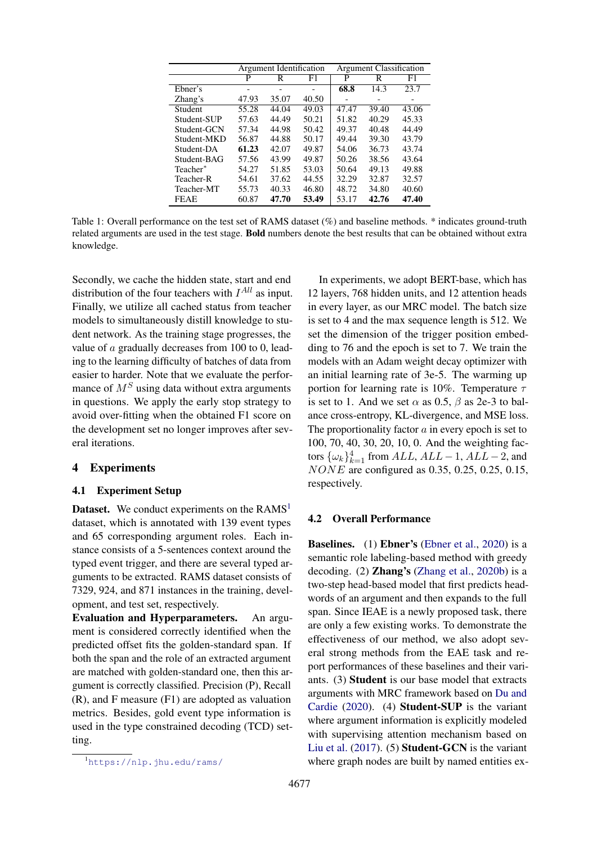<span id="page-5-1"></span>

|             | Argument Identification |       |       | <b>Argument Classification</b> |       |       |  |
|-------------|-------------------------|-------|-------|--------------------------------|-------|-------|--|
|             | P                       | R     | F1    | P                              | R     | F1    |  |
| Ebner's     | ۰                       |       |       | 68.8                           | 14.3  | 23.7  |  |
| Zhang's     | 47.93                   | 35.07 | 40.50 |                                |       |       |  |
| Student     | 55.28                   | 44.04 | 49.03 | 47.47                          | 39.40 | 43.06 |  |
| Student-SUP | 57.63                   | 44.49 | 50.21 | 51.82                          | 40.29 | 45.33 |  |
| Student-GCN | 57.34                   | 44.98 | 50.42 | 49.37                          | 40.48 | 44.49 |  |
| Student-MKD | 56.87                   | 44.88 | 50.17 | 49.44                          | 39.30 | 43.79 |  |
| Student-DA  | 61.23                   | 42.07 | 49.87 | 54.06                          | 36.73 | 43.74 |  |
| Student-BAG | 57.56                   | 43.99 | 49.87 | 50.26                          | 38.56 | 43.64 |  |
| Teacher*    | 54.27                   | 51.85 | 53.03 | 50.64                          | 49.13 | 49.88 |  |
| Teacher-R   | 54.61                   | 37.62 | 44.55 | 32.29                          | 32.87 | 32.57 |  |
| Teacher-MT  | 55.73                   | 40.33 | 46.80 | 48.72                          | 34.80 | 40.60 |  |
| <b>FEAE</b> | 60.87                   | 47.70 | 53.49 | 53.17                          | 42.76 | 47.40 |  |

Table 1: Overall performance on the test set of RAMS dataset (%) and baseline methods. \* indicates ground-truth related arguments are used in the test stage. Bold numbers denote the best results that can be obtained without extra knowledge.

Secondly, we cache the hidden state, start and end distribution of the four teachers with  $I^{All}$  as input. Finally, we utilize all cached status from teacher models to simultaneously distill knowledge to student network. As the training stage progresses, the value of a gradually decreases from 100 to 0, leading to the learning difficulty of batches of data from easier to harder. Note that we evaluate the performance of  $M<sup>S</sup>$  using data without extra arguments in questions. We apply the early stop strategy to avoid over-fitting when the obtained F1 score on the development set no longer improves after several iterations.

# 4 Experiments

# 4.1 Experiment Setup

**Dataset.** We conduct experiments on the  $RAMS<sup>1</sup>$  $RAMS<sup>1</sup>$  $RAMS<sup>1</sup>$ dataset, which is annotated with 139 event types and 65 corresponding argument roles. Each instance consists of a 5-sentences context around the typed event trigger, and there are several typed arguments to be extracted. RAMS dataset consists of 7329, 924, and 871 instances in the training, development, and test set, respectively.

Evaluation and Hyperparameters. An argument is considered correctly identified when the predicted offset fits the golden-standard span. If both the span and the role of an extracted argument are matched with golden-standard one, then this argument is correctly classified. Precision (P), Recall (R), and F measure (F1) are adopted as valuation metrics. Besides, gold event type information is used in the type constrained decoding (TCD) setting.

In experiments, we adopt BERT-base, which has 12 layers, 768 hidden units, and 12 attention heads in every layer, as our MRC model. The batch size is set to 4 and the max sequence length is 512. We set the dimension of the trigger position embedding to 76 and the epoch is set to 7. We train the models with an Adam weight decay optimizer with an initial learning rate of 3e-5. The warming up portion for learning rate is 10%. Temperature  $\tau$ is set to 1. And we set  $\alpha$  as 0.5,  $\beta$  as 2e-3 to balance cross-entropy, KL-divergence, and MSE loss. The proportionality factor  $a$  in every epoch is set to 100, 70, 40, 30, 20, 10, 0. And the weighting factors  $\{\omega_k\}_{k=1}^4$  from  $ALL$ ,  $ALL - 1$ ,  $ALL - 2$ , and NONE are configured as 0.35, 0.25, 0.25, 0.15, respectively.

### 4.2 Overall Performance

Baselines. (1) Ebner's [\(Ebner et al.,](#page-9-0) [2020\)](#page-9-0) is a semantic role labeling-based method with greedy decoding. (2) Zhang's [\(Zhang et al.,](#page-10-1) [2020b\)](#page-10-1) is a two-step head-based model that first predicts headwords of an argument and then expands to the full span. Since IEAE is a newly proposed task, there are only a few existing works. To demonstrate the effectiveness of our method, we also adopt several strong methods from the EAE task and report performances of these baselines and their variants. (3) Student is our base model that extracts arguments with MRC framework based on [Du and](#page-9-4) [Cardie](#page-9-4) [\(2020\)](#page-9-4). (4) Student-SUP is the variant where argument information is explicitly modeled with supervising attention mechanism based on [Liu et al.](#page-9-6) [\(2017\)](#page-9-6). (5) Student-GCN is the variant where graph nodes are built by named entities ex-

<span id="page-5-0"></span><sup>1</sup><https://nlp.jhu.edu/rams/>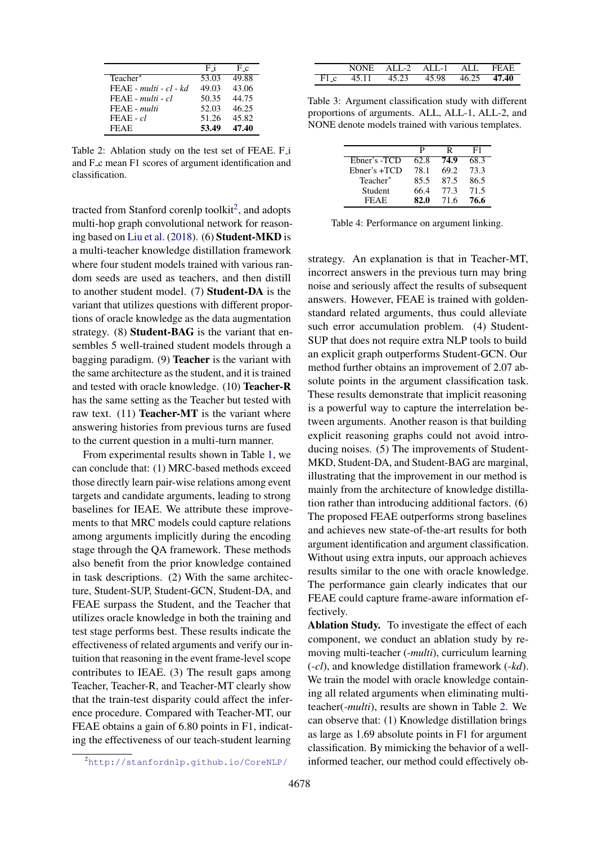<span id="page-6-1"></span>

|                          | Fi    | Fс    |
|--------------------------|-------|-------|
| Teacher*                 | 53.03 | 49.88 |
| $FEAE - multi - cl - kd$ | 49.03 | 43.06 |
| $FEAE$ - multi - $cl$    | 50.35 | 44.75 |
| FEAE - multi             | 52.03 | 46.25 |
| $FEAE - cl$              | 51.26 | 45.82 |
| <b>FEAE</b>              | 53.49 | 47.40 |

Table 2: Ablation study on the test set of FEAE. F<sub>1</sub> and F<sub>-c</sub> mean F1 scores of argument identification and classification.

tracted from Stanford corenlp toolkit<sup>[2](#page-6-0)</sup>, and adopts multi-hop graph convolutional network for reasoning based on [Liu et al.](#page-9-2) [\(2018\)](#page-9-2). (6) Student-MKD is a multi-teacher knowledge distillation framework where four student models trained with various random seeds are used as teachers, and then distill to another student model. (7) Student-DA is the variant that utilizes questions with different proportions of oracle knowledge as the data augmentation strategy. (8) Student-BAG is the variant that ensembles 5 well-trained student models through a bagging paradigm. (9) Teacher is the variant with the same architecture as the student, and it is trained and tested with oracle knowledge. (10) Teacher-R has the same setting as the Teacher but tested with raw text.  $(11)$  **Teacher-MT** is the variant where answering histories from previous turns are fused to the current question in a multi-turn manner.

From experimental results shown in Table [1,](#page-5-1) we can conclude that: (1) MRC-based methods exceed those directly learn pair-wise relations among event targets and candidate arguments, leading to strong baselines for IEAE. We attribute these improvements to that MRC models could capture relations among arguments implicitly during the encoding stage through the QA framework. These methods also benefit from the prior knowledge contained in task descriptions. (2) With the same architecture, Student-SUP, Student-GCN, Student-DA, and FEAE surpass the Student, and the Teacher that utilizes oracle knowledge in both the training and test stage performs best. These results indicate the effectiveness of related arguments and verify our intuition that reasoning in the event frame-level scope contributes to IEAE. (3) The result gaps among Teacher, Teacher-R, and Teacher-MT clearly show that the train-test disparity could affect the inference procedure. Compared with Teacher-MT, our FEAE obtains a gain of 6.80 points in F1, indicating the effectiveness of our teach-student learning

<span id="page-6-2"></span>

| NONE - | ALL-2 | ALL-1 ALL |       | FFAF  |
|--------|-------|-----------|-------|-------|
| 45 11  | 45.23 | 45.98     | 46.25 | 47.40 |

Table 3: Argument classification study with different proportions of arguments. ALL, ALL-1, ALL-2, and NONE denote models trained with various templates.

<span id="page-6-3"></span>

|                 | р    | R    | F1   |
|-----------------|------|------|------|
| Ebner's -TCD    | 62.8 | 74.9 | 68.3 |
| $Ehner's + TCD$ | 78.1 | 69.2 | 73.3 |
| Teacher*        | 85.5 | 87.5 | 86.5 |
| Student         | 66.4 | 77.3 | 71.5 |
| <b>FEAF</b>     | 82.0 | 71.6 | 76.6 |

Table 4: Performance on argument linking.

strategy. An explanation is that in Teacher-MT, incorrect answers in the previous turn may bring noise and seriously affect the results of subsequent answers. However, FEAE is trained with goldenstandard related arguments, thus could alleviate such error accumulation problem. (4) Student-SUP that does not require extra NLP tools to build an explicit graph outperforms Student-GCN. Our method further obtains an improvement of 2.07 absolute points in the argument classification task. These results demonstrate that implicit reasoning is a powerful way to capture the interrelation between arguments. Another reason is that building explicit reasoning graphs could not avoid introducing noises. (5) The improvements of Student-MKD, Student-DA, and Student-BAG are marginal, illustrating that the improvement in our method is mainly from the architecture of knowledge distillation rather than introducing additional factors. (6) The proposed FEAE outperforms strong baselines and achieves new state-of-the-art results for both argument identification and argument classification. Without using extra inputs, our approach achieves results similar to the one with oracle knowledge. The performance gain clearly indicates that our FEAE could capture frame-aware information effectively.

Ablation Study. To investigate the effect of each component, we conduct an ablation study by removing multi-teacher (*-multi*), curriculum learning (*-cl*), and knowledge distillation framework (*-kd*). We train the model with oracle knowledge containing all related arguments when eliminating multiteacher(*-multi*), results are shown in Table [2.](#page-6-1) We can observe that: (1) Knowledge distillation brings as large as 1.69 absolute points in F1 for argument classification. By mimicking the behavior of a wellinformed teacher, our method could effectively ob-

<span id="page-6-0"></span><sup>2</sup><http://stanfordnlp.github.io/CoreNLP/>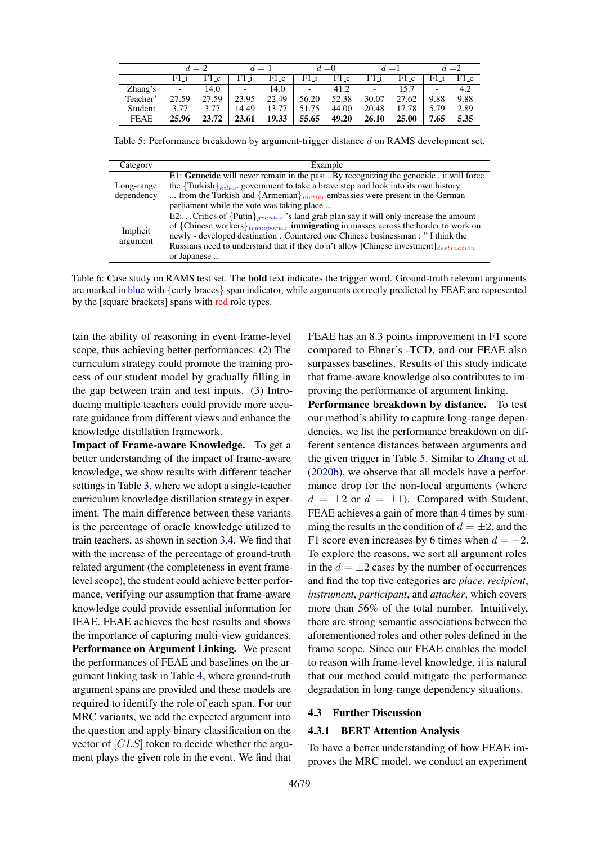<span id="page-7-0"></span>

|                      |                          | $d = -2$ |                          | $d = -1$ |                          | $=0$   |                          | $d=1$ |      | $=2$ |
|----------------------|--------------------------|----------|--------------------------|----------|--------------------------|--------|--------------------------|-------|------|------|
|                      | $F1$ i                   | F1_c     | F1 i                     | $F1_c$   | F1 i                     | $F1_c$ | F1 i                     | F1_c  | F1 i | F1c  |
| Zhang's              | $\overline{\phantom{0}}$ | 14.0     | $\overline{\phantom{a}}$ | 14.0     | $\overline{\phantom{0}}$ | 41.2   | $\overline{\phantom{0}}$ |       |      | 4.2  |
| Teacher <sup>*</sup> | 27.59                    | 27.59    | 23.95                    | 22.49    | 56.20                    | 52.38  | 30.07                    | 27.62 | 9.88 | 9.88 |
| Student              | 3.77                     | 3.77     | 14.49                    | 13.77    | .75                      | 44.00  | 20.48                    | 17.78 | 5.79 | 2.89 |
| <b>FEAE</b>          | 25.96                    | 23.72    | 23.61                    | 19.33    | 55.65                    | 49.20  | 26.10                    | 25.00 | 7.65 | 5.35 |

Table 5: Performance breakdown by argument-trigger distance d on RAMS development set.

<span id="page-7-1"></span>

| Category             | Example                                                                                         |  |  |  |  |
|----------------------|-------------------------------------------------------------------------------------------------|--|--|--|--|
|                      | E1: Genocide will never remain in the past . By recognizing the genocide, it will force         |  |  |  |  |
| Long-range           | the $\{\text{Turkish}\}_{killer}$ government to take a brave step and look into its own history |  |  |  |  |
| dependency           | from the Turkish and $\{Armenian\}_{victim}$ embassies were present in the German               |  |  |  |  |
|                      | parliament while the vote was taking place                                                      |  |  |  |  |
|                      | $E2$ Critics of {Putin} granter 's land grab plan say it will only increase the amount          |  |  |  |  |
| Implicit<br>argument | of {Chinese workers} $_{transporter}$ immigrating in masses across the border to work on        |  |  |  |  |
|                      | newly - developed destination. Countered one Chinese businessman: "I think the                  |  |  |  |  |
|                      | Russians need to understand that if they do n't allow [Chinese investment] $_{destination}$     |  |  |  |  |
|                      | or Japanese                                                                                     |  |  |  |  |

Table 6: Case study on RAMS test set. The **bold** text indicates the trigger word. Ground-truth relevant arguments are marked in blue with {curly braces} span indicator, while arguments correctly predicted by FEAE are represented by the [square brackets] spans with red role types.

tain the ability of reasoning in event frame-level scope, thus achieving better performances. (2) The curriculum strategy could promote the training process of our student model by gradually filling in the gap between train and test inputs. (3) Introducing multiple teachers could provide more accurate guidance from different views and enhance the knowledge distillation framework.

Impact of Frame-aware Knowledge. To get a better understanding of the impact of frame-aware knowledge, we show results with different teacher settings in Table [3,](#page-6-2) where we adopt a single-teacher curriculum knowledge distillation strategy in experiment. The main difference between these variants is the percentage of oracle knowledge utilized to train teachers, as shown in section [3.4.](#page-3-2) We find that with the increase of the percentage of ground-truth related argument (the completeness in event framelevel scope), the student could achieve better performance, verifying our assumption that frame-aware knowledge could provide essential information for IEAE. FEAE achieves the best results and shows the importance of capturing multi-view guidances. Performance on Argument Linking. We present the performances of FEAE and baselines on the argument linking task in Table [4,](#page-6-3) where ground-truth argument spans are provided and these models are required to identify the role of each span. For our MRC variants, we add the expected argument into the question and apply binary classification on the vector of [CLS] token to decide whether the argument plays the given role in the event. We find that

FEAE has an 8.3 points improvement in F1 score compared to Ebner's -TCD, and our FEAE also surpasses baselines. Results of this study indicate that frame-aware knowledge also contributes to improving the performance of argument linking.

Performance breakdown by distance. To test our method's ability to capture long-range dependencies, we list the performance breakdown on different sentence distances between arguments and the given trigger in Table [5.](#page-7-0) Similar to [Zhang et al.](#page-10-1) [\(2020b\)](#page-10-1), we observe that all models have a performance drop for the non-local arguments (where  $d = \pm 2$  or  $d = \pm 1$ ). Compared with Student, FEAE achieves a gain of more than 4 times by summing the results in the condition of  $d = \pm 2$ , and the F1 score even increases by 6 times when  $d = -2$ . To explore the reasons, we sort all argument roles in the  $d = \pm 2$  cases by the number of occurrences and find the top five categories are *place*, *recipient*, *instrument*, *participant*, and *attacker*, which covers more than 56% of the total number. Intuitively, there are strong semantic associations between the aforementioned roles and other roles defined in the frame scope. Since our FEAE enables the model to reason with frame-level knowledge, it is natural that our method could mitigate the performance degradation in long-range dependency situations.

#### 4.3 Further Discussion

## 4.3.1 BERT Attention Analysis

To have a better understanding of how FEAE improves the MRC model, we conduct an experiment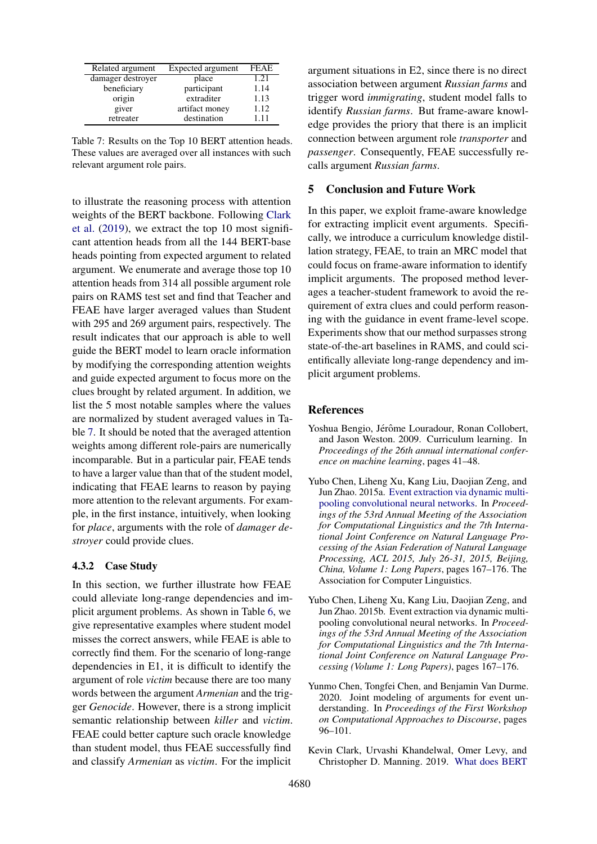<span id="page-8-5"></span>

| Related argument  | Expected argument | <b>FEAE</b> |
|-------------------|-------------------|-------------|
| damager destroyer | place             | 1.21        |
| beneficiary       | participant       | 1.14        |
| origin            | extraditer        | 1.13        |
| giver             | artifact money    | 1.12        |
| retreater         | destination       | 111         |

Table 7: Results on the Top 10 BERT attention heads. These values are averaged over all instances with such relevant argument role pairs.

to illustrate the reasoning process with attention weights of the BERT backbone. Following [Clark](#page-8-4) [et al.](#page-8-4) [\(2019\)](#page-8-4), we extract the top 10 most significant attention heads from all the 144 BERT-base heads pointing from expected argument to related argument. We enumerate and average those top 10 attention heads from 314 all possible argument role pairs on RAMS test set and find that Teacher and FEAE have larger averaged values than Student with 295 and 269 argument pairs, respectively. The result indicates that our approach is able to well guide the BERT model to learn oracle information by modifying the corresponding attention weights and guide expected argument to focus more on the clues brought by related argument. In addition, we list the 5 most notable samples where the values are normalized by student averaged values in Table [7.](#page-8-5) It should be noted that the averaged attention weights among different role-pairs are numerically incomparable. But in a particular pair, FEAE tends to have a larger value than that of the student model, indicating that FEAE learns to reason by paying more attention to the relevant arguments. For example, in the first instance, intuitively, when looking for *place*, arguments with the role of *damager destroyer* could provide clues.

## 4.3.2 Case Study

In this section, we further illustrate how FEAE could alleviate long-range dependencies and implicit argument problems. As shown in Table [6,](#page-7-1) we give representative examples where student model misses the correct answers, while FEAE is able to correctly find them. For the scenario of long-range dependencies in E1, it is difficult to identify the argument of role *victim* because there are too many words between the argument *Armenian* and the trigger *Genocide*. However, there is a strong implicit semantic relationship between *killer* and *victim*. FEAE could better capture such oracle knowledge than student model, thus FEAE successfully find and classify *Armenian* as *victim*. For the implicit

argument situations in E2, since there is no direct association between argument *Russian farms* and trigger word *immigrating*, student model falls to identify *Russian farms*. But frame-aware knowledge provides the priory that there is an implicit connection between argument role *transporter* and *passenger*. Consequently, FEAE successfully recalls argument *Russian farms*.

## 5 Conclusion and Future Work

In this paper, we exploit frame-aware knowledge for extracting implicit event arguments. Specifically, we introduce a curriculum knowledge distillation strategy, FEAE, to train an MRC model that could focus on frame-aware information to identify implicit arguments. The proposed method leverages a teacher-student framework to avoid the requirement of extra clues and could perform reasoning with the guidance in event frame-level scope. Experiments show that our method surpasses strong state-of-the-art baselines in RAMS, and could scientifically alleviate long-range dependency and implicit argument problems.

## References

- <span id="page-8-2"></span>Yoshua Bengio, Jérôme Louradour, Ronan Collobert, and Jason Weston. 2009. Curriculum learning. In *Proceedings of the 26th annual international conference on machine learning*, pages 41–48.
- <span id="page-8-1"></span>Yubo Chen, Liheng Xu, Kang Liu, Daojian Zeng, and Jun Zhao. 2015a. [Event extraction via dynamic multi](https://doi.org/10.3115/v1/p15-1017)[pooling convolutional neural networks.](https://doi.org/10.3115/v1/p15-1017) In *Proceedings of the 53rd Annual Meeting of the Association for Computational Linguistics and the 7th International Joint Conference on Natural Language Processing of the Asian Federation of Natural Language Processing, ACL 2015, July 26-31, 2015, Beijing, China, Volume 1: Long Papers*, pages 167–176. The Association for Computer Linguistics.
- <span id="page-8-3"></span>Yubo Chen, Liheng Xu, Kang Liu, Daojian Zeng, and Jun Zhao. 2015b. Event extraction via dynamic multipooling convolutional neural networks. In *Proceedings of the 53rd Annual Meeting of the Association for Computational Linguistics and the 7th International Joint Conference on Natural Language Processing (Volume 1: Long Papers)*, pages 167–176.
- <span id="page-8-0"></span>Yunmo Chen, Tongfei Chen, and Benjamin Van Durme. 2020. Joint modeling of arguments for event understanding. In *Proceedings of the First Workshop on Computational Approaches to Discourse*, pages 96–101.
- <span id="page-8-4"></span>Kevin Clark, Urvashi Khandelwal, Omer Levy, and Christopher D. Manning. 2019. [What does BERT](http://arxiv.org/abs/1906.04341)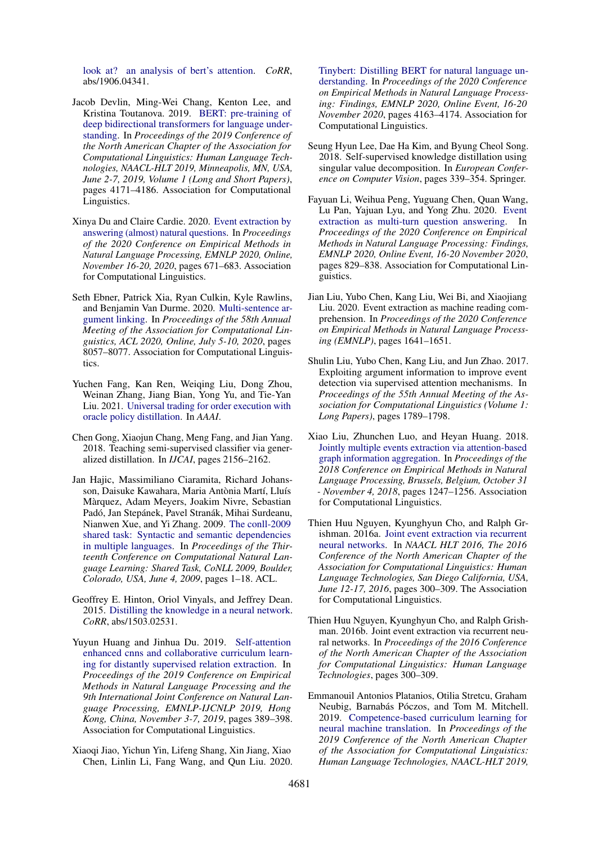[look at? an analysis of bert's attention.](http://arxiv.org/abs/1906.04341) *CoRR*, abs/1906.04341.

- <span id="page-9-16"></span>Jacob Devlin, Ming-Wei Chang, Kenton Lee, and Kristina Toutanova. 2019. [BERT: pre-training of](https://doi.org/10.18653/v1/n19-1423) [deep bidirectional transformers for language under](https://doi.org/10.18653/v1/n19-1423)[standing.](https://doi.org/10.18653/v1/n19-1423) In *Proceedings of the 2019 Conference of the North American Chapter of the Association for Computational Linguistics: Human Language Technologies, NAACL-HLT 2019, Minneapolis, MN, USA, June 2-7, 2019, Volume 1 (Long and Short Papers)*, pages 4171–4186. Association for Computational Linguistics.
- <span id="page-9-4"></span>Xinya Du and Claire Cardie. 2020. [Event extraction by](https://doi.org/10.18653/v1/2020.emnlp-main.49) [answering \(almost\) natural questions.](https://doi.org/10.18653/v1/2020.emnlp-main.49) In *Proceedings of the 2020 Conference on Empirical Methods in Natural Language Processing, EMNLP 2020, Online, November 16-20, 2020*, pages 671–683. Association for Computational Linguistics.
- <span id="page-9-0"></span>Seth Ebner, Patrick Xia, Ryan Culkin, Kyle Rawlins, and Benjamin Van Durme. 2020. [Multi-sentence ar](https://doi.org/10.18653/v1/2020.acl-main.718)[gument linking.](https://doi.org/10.18653/v1/2020.acl-main.718) In *Proceedings of the 58th Annual Meeting of the Association for Computational Linguistics, ACL 2020, Online, July 5-10, 2020*, pages 8057–8077. Association for Computational Linguistics.
- <span id="page-9-7"></span>Yuchen Fang, Kan Ren, Weiqing Liu, Dong Zhou, Weinan Zhang, Jiang Bian, Yong Yu, and Tie-Yan Liu. 2021. [Universal trading for order execution with](https://www.microsoft.com/en-us/research/publication/universal-trading-for-order-execution-with-oracle-policy-distillation/) [oracle policy distillation.](https://www.microsoft.com/en-us/research/publication/universal-trading-for-order-execution-with-oracle-policy-distillation/) In *AAAI*.
- <span id="page-9-11"></span>Chen Gong, Xiaojun Chang, Meng Fang, and Jian Yang. 2018. Teaching semi-supervised classifier via generalized distillation. In *IJCAI*, pages 2156–2162.
- <span id="page-9-3"></span>Jan Hajic, Massimiliano Ciaramita, Richard Johansson, Daisuke Kawahara, Maria Antònia Martí, Lluís Marquez, Adam Meyers, Joakim Nivre, Sebastian ` Padó, Jan Stepánek, Pavel Stranák, Mihai Surdeanu, Nianwen Xue, and Yi Zhang. 2009. [The conll-2009](https://www.aclweb.org/anthology/W09-1201/) [shared task: Syntactic and semantic dependencies](https://www.aclweb.org/anthology/W09-1201/) [in multiple languages.](https://www.aclweb.org/anthology/W09-1201/) In *Proceedings of the Thirteenth Conference on Computational Natural Language Learning: Shared Task, CoNLL 2009, Boulder, Colorado, USA, June 4, 2009*, pages 1–18. ACL.
- <span id="page-9-10"></span>Geoffrey E. Hinton, Oriol Vinyals, and Jeffrey Dean. 2015. [Distilling the knowledge in a neural network.](http://arxiv.org/abs/1503.02531) *CoRR*, abs/1503.02531.
- <span id="page-9-15"></span>Yuyun Huang and Jinhua Du. 2019. [Self-attention](https://doi.org/10.18653/v1/D19-1037) [enhanced cnns and collaborative curriculum learn](https://doi.org/10.18653/v1/D19-1037)[ing for distantly supervised relation extraction.](https://doi.org/10.18653/v1/D19-1037) In *Proceedings of the 2019 Conference on Empirical Methods in Natural Language Processing and the 9th International Joint Conference on Natural Language Processing, EMNLP-IJCNLP 2019, Hong Kong, China, November 3-7, 2019*, pages 389–398. Association for Computational Linguistics.
- <span id="page-9-13"></span>Xiaoqi Jiao, Yichun Yin, Lifeng Shang, Xin Jiang, Xiao Chen, Linlin Li, Fang Wang, and Qun Liu. 2020.

[Tinybert: Distilling BERT for natural language un](https://doi.org/10.18653/v1/2020.findings-emnlp.372)[derstanding.](https://doi.org/10.18653/v1/2020.findings-emnlp.372) In *Proceedings of the 2020 Conference on Empirical Methods in Natural Language Processing: Findings, EMNLP 2020, Online Event, 16-20 November 2020*, pages 4163–4174. Association for Computational Linguistics.

- <span id="page-9-12"></span>Seung Hyun Lee, Dae Ha Kim, and Byung Cheol Song. 2018. Self-supervised knowledge distillation using singular value decomposition. In *European Conference on Computer Vision*, pages 339–354. Springer.
- <span id="page-9-5"></span>Fayuan Li, Weihua Peng, Yuguang Chen, Quan Wang, Lu Pan, Yajuan Lyu, and Yong Zhu. 2020. [Event](https://doi.org/10.18653/v1/2020.findings-emnlp.73) [extraction as multi-turn question answering.](https://doi.org/10.18653/v1/2020.findings-emnlp.73) In *Proceedings of the 2020 Conference on Empirical Methods in Natural Language Processing: Findings, EMNLP 2020, Online Event, 16-20 November 2020*, pages 829–838. Association for Computational Linguistics.
- <span id="page-9-9"></span>Jian Liu, Yubo Chen, Kang Liu, Wei Bi, and Xiaojiang Liu. 2020. Event extraction as machine reading comprehension. In *Proceedings of the 2020 Conference on Empirical Methods in Natural Language Processing (EMNLP)*, pages 1641–1651.
- <span id="page-9-6"></span>Shulin Liu, Yubo Chen, Kang Liu, and Jun Zhao. 2017. Exploiting argument information to improve event detection via supervised attention mechanisms. In *Proceedings of the 55th Annual Meeting of the Association for Computational Linguistics (Volume 1: Long Papers)*, pages 1789–1798.
- <span id="page-9-2"></span>Xiao Liu, Zhunchen Luo, and Heyan Huang. 2018. [Jointly multiple events extraction via attention-based](https://doi.org/10.18653/v1/d18-1156) [graph information aggregation.](https://doi.org/10.18653/v1/d18-1156) In *Proceedings of the 2018 Conference on Empirical Methods in Natural Language Processing, Brussels, Belgium, October 31 - November 4, 2018*, pages 1247–1256. Association for Computational Linguistics.
- <span id="page-9-1"></span>Thien Huu Nguyen, Kyunghyun Cho, and Ralph Grishman. 2016a. [Joint event extraction via recurrent](https://doi.org/10.18653/v1/n16-1034) [neural networks.](https://doi.org/10.18653/v1/n16-1034) In *NAACL HLT 2016, The 2016 Conference of the North American Chapter of the Association for Computational Linguistics: Human Language Technologies, San Diego California, USA, June 12-17, 2016*, pages 300–309. The Association for Computational Linguistics.
- <span id="page-9-8"></span>Thien Huu Nguyen, Kyunghyun Cho, and Ralph Grishman. 2016b. Joint event extraction via recurrent neural networks. In *Proceedings of the 2016 Conference of the North American Chapter of the Association for Computational Linguistics: Human Language Technologies*, pages 300–309.
- <span id="page-9-14"></span>Emmanouil Antonios Platanios, Otilia Stretcu, Graham Neubig, Barnabás Póczos, and Tom M. Mitchell. 2019. [Competence-based curriculum learning for](https://doi.org/10.18653/v1/n19-1119) [neural machine translation.](https://doi.org/10.18653/v1/n19-1119) In *Proceedings of the 2019 Conference of the North American Chapter of the Association for Computational Linguistics: Human Language Technologies, NAACL-HLT 2019,*